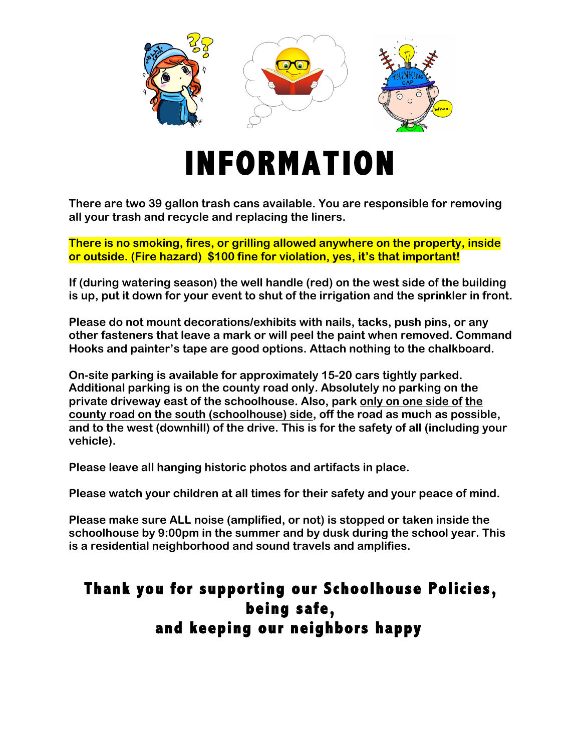

## **INFORMATION**

**There are two 39 gallon trash cans available. You are responsible for removing all your trash and recycle and replacing the liners.**

**There is no smoking, fires, or grilling allowed anywhere on the property, inside or outside. (Fire hazard) \$100 fine for violation, yes, it's that important!** 

**If (during watering season) the well handle (red) on the west side of the building is up, put it down for your event to shut of the irrigation and the sprinkler in front.**

**Please do not mount decorations/exhibits with nails, tacks, push pins, or any other fasteners that leave a mark or will peel the paint when removed. Command Hooks and painter's tape are good options. Attach nothing to the chalkboard.**

**On-site parking is available for approximately 15-20 cars tightly parked. Additional parking is on the county road only. Absolutely no parking on the private driveway east of the schoolhouse. Also, park only on one side of the county road on the south (schoolhouse) side, off the road as much as possible, and to the west (downhill) of the drive. This is for the safety of all (including your vehicle).** 

**Please leave all hanging historic photos and artifacts in place.**

**Please watch your children at all times for their safety and your peace of mind.** 

**Please make sure ALL noise (amplified, or not) is stopped or taken inside the schoolhouse by 9:00pm in the summer and by dusk during the school year. This is a residential neighborhood and sound travels and amplifies.**

## **Thank you for supporting our Schoolhouse Policies, being safe, and keeping our neighbors happy**